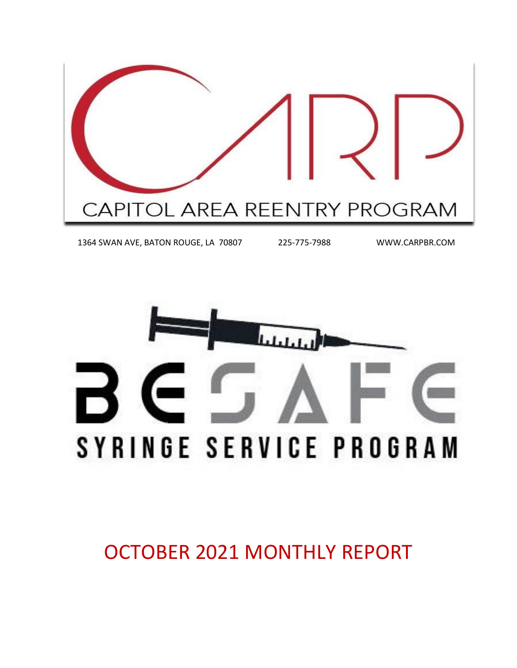

1364 SWAN AVE, BATON ROUGE, LA 70807 225-775-7988 WWW.CARPBR.COM

SYRINGE SERVICE PROGRAM

OCTOBER 2021 MONTHLY REPORT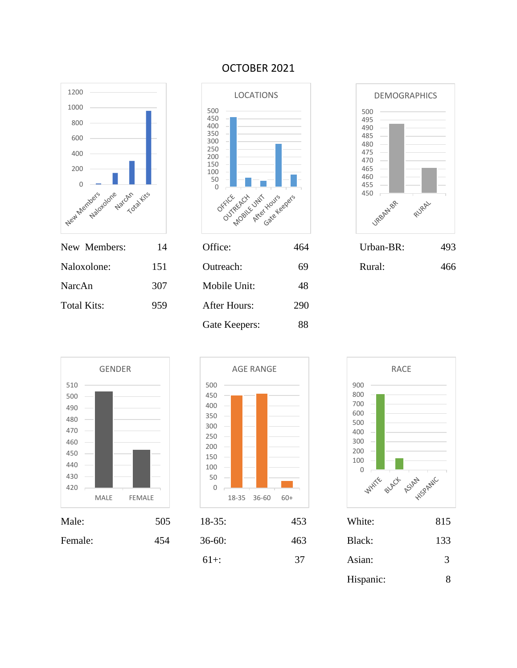

### OCTOBER 2021









| Male:   | 505 | $18-35$ : | 453 | White:    | 815 |
|---------|-----|-----------|-----|-----------|-----|
| Female: | 454 | $36-60:$  | 463 | Black:    | 133 |
|         |     | $61+$ :   | 37  | Asian:    | 3   |
|         |     |           |     | Hispanic: | 8   |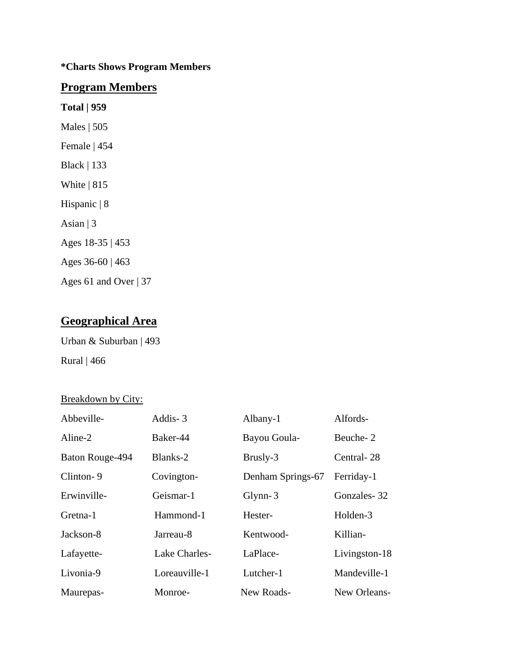### **\*Charts Shows Program Members**

## **Program Members**

**Total | 959** Males | 505 Female | 454 Black | 133 White | 815 Hispanic | 8 Asian  $|3$ Ages 18-35 | 453 Ages 36-60 | 463

Ages 61 and Over | 37

# **Geographical Area**

Urban & Suburban | 493 Rural | 466

### Breakdown by City:

| Abbeville-      | Addis-3       | Albany-1          | Alfords-      |
|-----------------|---------------|-------------------|---------------|
| Aline-2         | Baker-44      | Bayou Goula-      | Beuche-2      |
| Baton Rouge-494 | Blanks-2      | Brusly-3          | Central-28    |
| Clinton-9       | Covington-    | Denham Springs-67 | Ferriday-1    |
| Erwinville-     | Geismar-1     | $Glynn-3$         | Gonzales-32   |
| Gretna-1        | Hammond-1     | Hester-           | Holden-3      |
| Jackson-8       | Jarreau-8     | Kentwood-         | Killian-      |
| Lafayette-      | Lake Charles- | LaPlace-          | Livingston-18 |
| Livonia-9       | Loreauville-1 | Lutcher-1         | Mandeville-1  |
| Maurepas-       | Monroe-       | New Roads-        | New Orleans-  |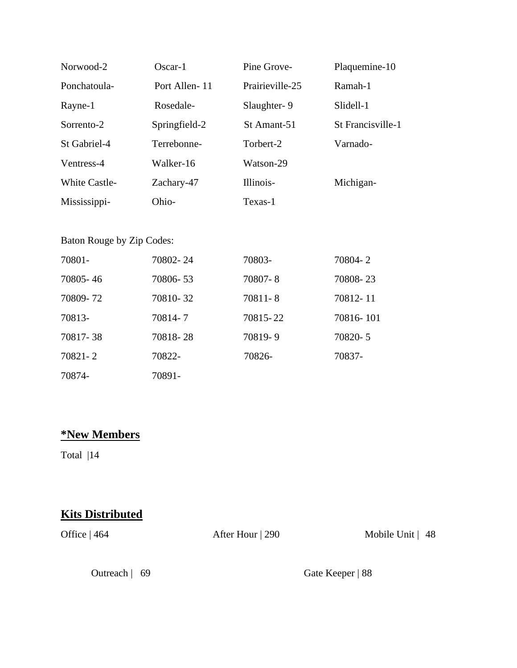| Norwood-2            | $Oscar-1$     | Pine Grove-     | Plaquemine-10     |
|----------------------|---------------|-----------------|-------------------|
| Ponchatoula-         | Port Allen-11 | Prairieville-25 | Ramah-1           |
| Rayne-1              | Rosedale-     | Slaughter-9     | Slidell-1         |
| Sorrento-2           | Springfield-2 | St Amant-51     | St Francisville-1 |
| St Gabriel-4         | Terrebonne-   | Torbert-2       | Varnado-          |
| Ventress-4           | Walker-16     | Watson-29       |                   |
| <b>White Castle-</b> | Zachary-47    | Illinois-       | Michigan-         |
| Mississippi-         | Ohio-         | Texas-1         |                   |

### Baton Rouge by Zip Codes:

| 70801-   | 70802-24 | 70803-   | 70804-2   |
|----------|----------|----------|-----------|
| 70805-46 | 70806-53 | 70807-8  | 70808-23  |
| 70809-72 | 70810-32 | 70811-8  | 70812-11  |
| 70813-   | 70814-7  | 70815-22 | 70816-101 |
| 70817-38 | 70818-28 | 70819-9  | 70820-5   |
| 70821-2  | 70822-   | 70826-   | 70837-    |
| 70874-   | 70891-   |          |           |

# **\*New Members**

Total |14

## **Kits Distributed**

Office | 464 After Hour | 290 Mobile Unit | 48

Outreach | 69 Gate Keeper | 88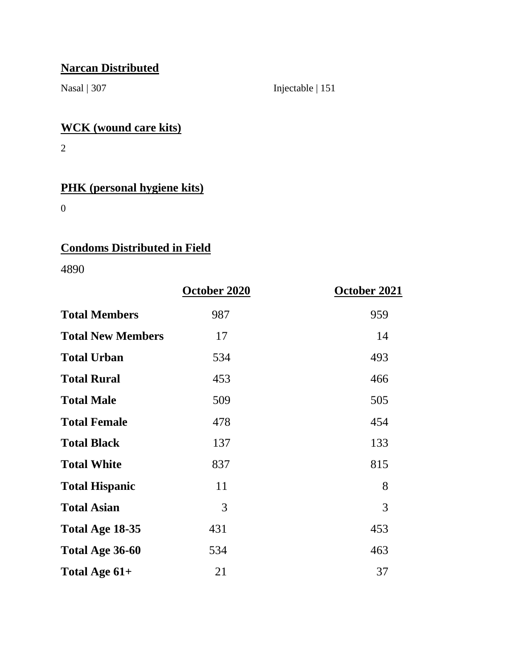# **Narcan Distributed**

Nasal | 307 Injectable | 151

# **WCK (wound care kits)**

2

# **PHK (personal hygiene kits)**

0

# **Condoms Distributed in Field**

4890

|                          | October 2020 | October 2021 |
|--------------------------|--------------|--------------|
| <b>Total Members</b>     | 987          | 959          |
| <b>Total New Members</b> | 17           | 14           |
| <b>Total Urban</b>       | 534          | 493          |
| <b>Total Rural</b>       | 453          | 466          |
| <b>Total Male</b>        | 509          | 505          |
| <b>Total Female</b>      | 478          | 454          |
| <b>Total Black</b>       | 137          | 133          |
| <b>Total White</b>       | 837          | 815          |
| <b>Total Hispanic</b>    | 11           | 8            |
| <b>Total Asian</b>       | 3            | 3            |
| Total Age 18-35          | 431          | 453          |
| Total Age 36-60          | 534          | 463          |
| Total Age 61+            | 21           | 37           |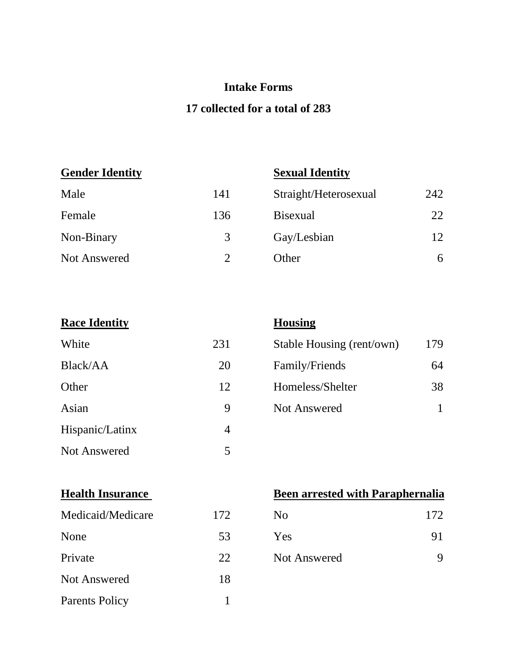## **Intake Forms**

## **17 collected for a total of 283**

## **Gender Identity Sexual Identity**

| Male                | 141 | Straight/Heterosexual | 242 |
|---------------------|-----|-----------------------|-----|
| Female              | 136 | <b>B</b> isexual      | 22  |
| Non-Binary          | 3   | Gay/Lesbian           | 12  |
| <b>Not Answered</b> |     | Other                 | 6   |

| <b>Race Identity</b> |     | <b>Housing</b>  |
|----------------------|-----|-----------------|
| White                | 231 | Stable Ho       |
| Black/AA             | 20  | Family/F        |
| Other                | 12  | Homeless        |
| Asian                | 9   | <b>Not Ansy</b> |
| Hispanic/Latinx      | 4   |                 |
| <b>Not Answered</b>  | 5   |                 |

| White    | 231 | Stable Housing (rent/own) | 179 |
|----------|-----|---------------------------|-----|
| Black/AA | 20  | Family/Friends            | 64  |
| Other    | 12  | Homeless/Shelter          | 38  |
| Asian    | Q   | <b>Not Answered</b>       |     |

| Medicaid/Medicare     | 172 | N <sub>0</sub> | 172 |
|-----------------------|-----|----------------|-----|
| None                  | 53  | Yes            | 91  |
| Private               | 22  | Not Answered   | 9   |
| <b>Not Answered</b>   | 18  |                |     |
| <b>Parents Policy</b> |     |                |     |

## **Health Insurance Been arrested with Paraphernalia**

| N <sub>0</sub>      | 172 |
|---------------------|-----|
| Yes                 | 91  |
| <b>Not Answered</b> |     |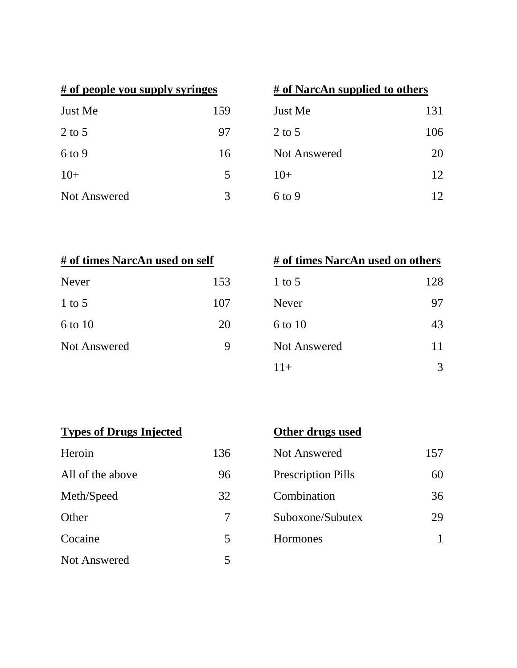| # of people you supply syringes |     |  |
|---------------------------------|-----|--|
| Just Me                         | 159 |  |
| $2$ to 5                        | 97  |  |
| $6$ to 9                        | 16  |  |
| $10+$                           | 5   |  |
| Not Answered                    |     |  |

| # of people you supply syringes |     | # of NarcAn supplied to others |     |
|---------------------------------|-----|--------------------------------|-----|
| Just Me                         | 159 | Just Me                        | 131 |
| 2 to 5                          | 97  | $2$ to 5                       | 106 |
| 6 to 9                          | 16  | Not Answered                   | 20  |
| $10+$                           | 5   | $10+$                          | 12  |
| <b>Not Answered</b>             | 3   | $6$ to 9                       | 12  |

| # of times NarcAn used on self |     | # of times NarcAn used on others |     |
|--------------------------------|-----|----------------------------------|-----|
| <b>Never</b>                   | 153 | 1 to 5                           | 128 |
| $1$ to 5                       | 107 | Never                            | 97  |
| 6 to 10                        | 20  | 6 to 10                          | 43  |
| <b>Not Answered</b>            | Q   | <b>Not Answered</b>              |     |
|                                |     |                                  |     |

| # of times NarcAn used on self |     | # of times NarcAn used on others |     |
|--------------------------------|-----|----------------------------------|-----|
| Never                          | 153 | 1 to 5                           | 128 |
| 1 to $5$                       | 107 | <b>Never</b>                     | 97  |
| 6 to 10                        | 20  | 6 to 10                          | 43  |
| <b>Not Answered</b>            | 9   | Not Answered                     | 11  |
|                                |     | $11+$                            | 3   |

|  | <b>Types of Drugs Injected</b> |  |
|--|--------------------------------|--|
|  |                                |  |

| <b>Types of Drugs Injected</b> |     | Othe    |
|--------------------------------|-----|---------|
| Heroin                         | 136 | Not $A$ |
| All of the above               | 96  | Presc   |
| Meth/Speed                     | 32  | Coml    |
| Other                          | 7   | Subo    |
| Cocaine                        | 5   | Horm    |
| <b>Not Answered</b>            | 5   |         |

| Other drugs used |
|------------------|
|------------------|

| Heroin           | 136 | Not Answered              | 157 |
|------------------|-----|---------------------------|-----|
| All of the above | 96  | <b>Prescription Pills</b> | 60  |
| Meth/Speed       | 32  | Combination               | 36  |
| Other            | 7   | Suboxone/Subutex          | 29  |
| Cocaine          | 5   | Hormones                  |     |
|                  |     |                           |     |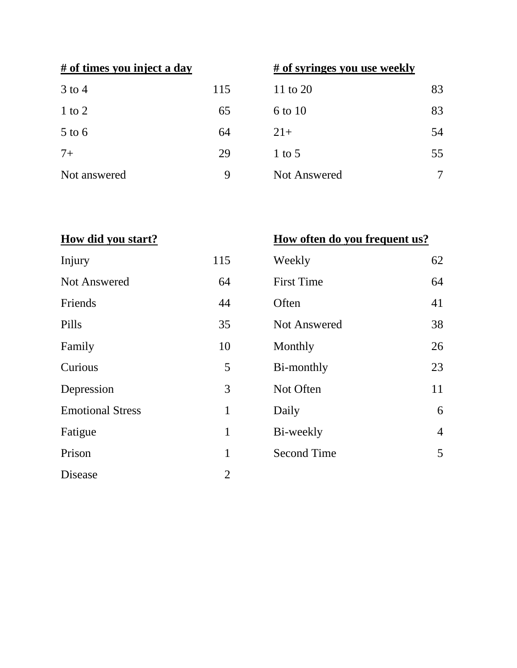| $3$ to 4     | 115 |
|--------------|-----|
| $1$ to $2$   | 65  |
| $5$ to 6     | 64  |
| $7+$         | 29  |
| Not answered | Q   |

# **# of times you inject a day # of syringes you use weekly**

| $3$ to $4$   | 115 | 11 to 20     | 83     |
|--------------|-----|--------------|--------|
| $1$ to $2$   | 65  | 6 to 10      | 83     |
| $5$ to $6$   | 64  | $21+$        | 54     |
| $7+$         | 29  | 1 to 5       | 55     |
| Not answered | 9   | Not Answered | $\tau$ |
|              |     |              |        |

# **How did you start?**

| How often do you frequent us? |  |  |  |
|-------------------------------|--|--|--|
|                               |  |  |  |

| Injury                  | 115            | Weekly              | 62             |
|-------------------------|----------------|---------------------|----------------|
| Not Answered            | 64             | <b>First Time</b>   | 64             |
| Friends                 | 44             | Often               | 41             |
| Pills                   | 35             | <b>Not Answered</b> | 38             |
| Family                  | 10             | Monthly             | 26             |
| Curious                 | 5              | Bi-monthly          | 23             |
| Depression              | 3              | Not Often           | 11             |
| <b>Emotional Stress</b> | $\mathbf{1}$   | Daily               | 6              |
| Fatigue                 | $\mathbf{1}$   | Bi-weekly           | $\overline{4}$ |
| Prison                  | 1              | <b>Second Time</b>  | 5              |
| Disease                 | $\overline{2}$ |                     |                |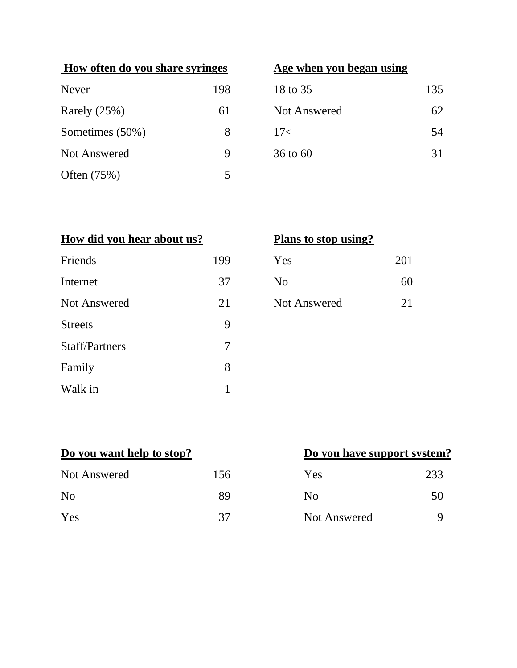| How often do you share syringes |     | Age when you began using |     |
|---------------------------------|-----|--------------------------|-----|
| <b>Never</b>                    | 198 | 18 to 35                 | 135 |
| Rarely $(25%)$                  | 61  | <b>Not Answered</b>      | 62  |
| Sometimes (50%)                 | 8   | 17<                      | 54  |
| Not Answered                    | 9   | $36$ to $60$             | 31  |
| Often $(75%)$                   | 5   |                          |     |

# **Age when you began using**

| 18 to 35            | 135 |
|---------------------|-----|
| <b>Not Answered</b> | 62  |
| 17<                 | 54  |
| 36 to 60            | 31  |

| How did you hear about us? |     | Plans to stop using? |     |
|----------------------------|-----|----------------------|-----|
| Friends                    | 199 | Yes                  | 201 |
| Internet                   | 37  | N <sub>o</sub>       | 60  |
| <b>Not Answered</b>        | 21  | <b>Not Answered</b>  | 21  |
| <b>Streets</b>             | 9   |                      |     |
| <b>Staff/Partners</b>      | 7   |                      |     |
| Family                     | 8   |                      |     |
| Walk in                    |     |                      |     |

|  | Plans to stop using? |  |
|--|----------------------|--|
|  |                      |  |

| 9 | Yes            | 201 |
|---|----------------|-----|
| 7 | N <sub>0</sub> | 60  |
| 1 | Not Answered   | 21  |

| Do you want help to stop? |     | Do you have support system |     |
|---------------------------|-----|----------------------------|-----|
| Not Answered              | 156 | Yes                        | 233 |
| N <sub>0</sub>            | 89  | No                         | 50  |
| Yes                       | 37  | Not Answered               | Q   |

# **Do you have support system?**

| Yes            | 233 |
|----------------|-----|
| N <sub>0</sub> | 50  |
| Not Answered   |     |